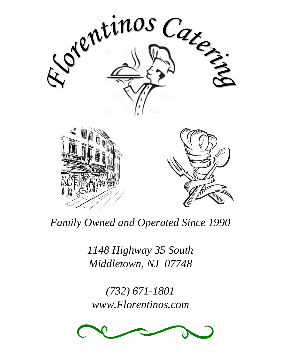

*Family Owned and Operated Since 1990*

*1148 Highway 35 South Middletown, NJ 07748*

*(732) 671-1801 www.Florentinos.com*

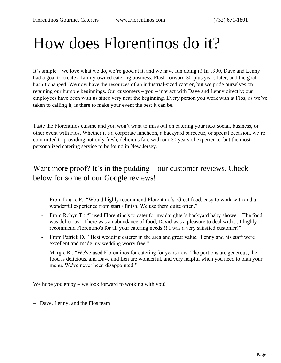# How does Florentinos do it?

It's simple – we love what we do, we're good at it, and we have fun doing it! In 1990, Dave and Lenny had a goal to create a family-owned catering business. Flash forward 30-plus years later, and the goal hasn't changed. We now have the resources of an industrial-sized caterer, but we pride ourselves on retaining our humble beginnings. Our customers – you – interact with Dave and Lenny directly; our employees have been with us since very near the beginning. Every person you work with at Flos, as we've taken to calling it, is there to make your event the best it can be.

Taste the Florentinos cuisine and you won't want to miss out on catering your next social, business, or other event with Flos. Whether it's a corporate luncheon, a backyard barbecue, or special occasion, we're committed to providing not only fresh, delicious fare with our 30 years of experience, but the most personalized catering service to be found in New Jersey.

## Want more proof? It's in the pudding – our customer reviews. Check below for some of our Google reviews!

- From Laurie P.: "Would highly recommend Florentino's. Great food, easy to work with and a wonderful experience from start / finish. We use them quite often."
- From Robyn T.: "I used Florentino's to cater for my daughter's backyard baby shower. The food was delicious! There was an abundance of food, David was a pleasure to deal with ... I highly recommend Florentino's for all your catering needs!!! I was a very satisfied customer!"
- From Patrick D.: "Best wedding caterer in the area and great value. Lenny and his staff were excellent and made my wedding worry free."
- Margie R.: "We've used Florentinos for catering for years now. The portions are generous, the food is delicious, and Dave and Len are wonderful, and very helpful when you need to plan your menu. We've never been disappointed!"

We hope you enjoy – we look forward to working with you!

– Dave, Lenny, and the Flos team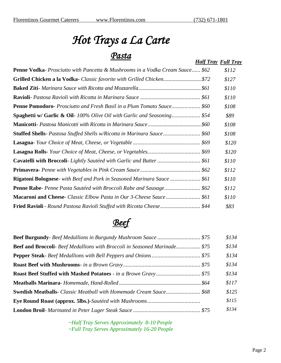# *Hot Trays a La Carte Pasta*

| 'I USVU                                                                              | <b>Half Tray Full Tray</b> |       |
|--------------------------------------------------------------------------------------|----------------------------|-------|
| <b>Penne Vodka-</b> Prosciutto with Pancetta & Mushrooms in a Vodka Cream Sauce \$62 |                            | \$112 |
| Grilled Chicken a la Vodka- Classic favorite with Grilled Chicken\$72                |                            | \$127 |
|                                                                                      |                            | \$110 |
|                                                                                      |                            | \$110 |
| <b>Penne Pomodoro-</b> Prosciutto and Fresh Basil in a Plum Tomato Sauce \$60        |                            | \$108 |
| <b>Spaghetti w/ Garlic &amp; Oil-</b> 100% Olive Oil with Garlic and Seasoning \$54  |                            | \$89  |
|                                                                                      |                            | \$108 |
| Stuffed Shells- Pastosa Stuffed Shells w/Ricotta in Marinara Sauce \$60              |                            | \$108 |
|                                                                                      |                            | \$120 |
|                                                                                      |                            | \$120 |
| <b>Cavatelli with Broccoli-</b> Lightly Sautéed with Garlic and Butter  \$61         |                            | \$110 |
|                                                                                      |                            | \$112 |
| <b>Rigatoni Bolognese-</b> with Beef and Pork in Seasoned Marinara Sauce  \$61       |                            | \$110 |
| <b>Penne Rabe-</b> Penne Pasta Sautéed with Broccoli Rabe and Sausage \$62           |                            | \$112 |
|                                                                                      |                            | \$110 |
| <b>Fried Ravioli</b> - Round Pastosa Ravioli Stuffed with Ricotta Cheese \$44        |                            | \$83  |

## *Beef*

|                                                                                   | \$134 |
|-----------------------------------------------------------------------------------|-------|
| <b>Beef and Broccoli-</b> Beef Medallions with Broccoli in Seasoned Marinade \$75 | \$134 |
|                                                                                   | \$134 |
|                                                                                   | \$134 |
|                                                                                   | \$134 |
|                                                                                   | \$117 |
| <b>Swedish Meatballs-</b> Classic Meatball with Homemade Cream Sauce \$68         | \$125 |
|                                                                                   | \$115 |
|                                                                                   | \$134 |

*~Half Tray Serves Approximately 8-10 People ~Full Tray Serves Approximately 16-20 People*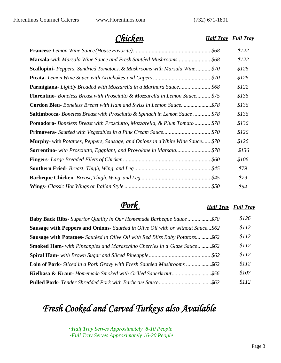*Chicken*

*Half Tray Full Tray*

|                                                                                               | \$122 |
|-----------------------------------------------------------------------------------------------|-------|
| Marsala-with Marsala Wine Sauce and Fresh Sautéed Mushrooms \$68                              | \$122 |
| Scallopini- Peppers, Sundried Tomatoes, & Mushrooms with Marsala Wine \$70                    | \$126 |
|                                                                                               | \$126 |
| <b>Parmigiana-</b> Lightly Breaded with Mozzarella in a Marinara Sauce \$68                   | \$122 |
| Florentino-Boneless Breast with Prosciutto & Mozzarella in Lemon Sauce \$75                   | \$136 |
| <b>Cordon Bleu-</b> Boneless Breast with Ham and Swiss in Lemon Sauce\$78                     | \$136 |
| <b>Saltimbocca-</b> Boneless Breast with Prosciutto & Spinach in Lemon Sauce  \$78            | \$136 |
| <b>Pomodoro-</b> Boneless Breast with Prosciutto, Mozzarella, & Plum Tomato  \$78             | \$136 |
|                                                                                               | \$126 |
| <b>Murphy</b> - with <i>Potatoes, Peppers, Sausage, and Onions in a White Wine Sauce \$70</i> | \$126 |
| <b>Sorrentino</b> - with Prosciutto, Eggplant, and Provolone in Marsala \$78                  | \$136 |
|                                                                                               | \$106 |
|                                                                                               | \$79  |
|                                                                                               | \$79  |
|                                                                                               | \$94  |

## *Pork*

#### *Half Tray Full Tray*

| <b>Baby Back Ribs-</b> Superior Quality in Our Homemade Barbeque Sauce   \$70          | \$126 |
|----------------------------------------------------------------------------------------|-------|
| <b>Sausage with Peppers and Onions-</b> Sautéed in Olive Oil with or without Sauce\$62 | \$112 |
| <b>Sausage with Potatoes-</b> Sautéed in Olive Oil with Red Bliss Baby Potatoes \$62   | \$112 |
| <b>Smoked Ham-</b> with Pineapples and Maraschino Cherries in a Glaze Sauce\$62        | \$112 |
|                                                                                        | \$112 |
| <b>Loin of Pork-</b> Sliced in a Pork Gravy with Fresh Sautéed Mushrooms  \$62         | \$112 |
|                                                                                        | \$107 |
|                                                                                        | \$112 |

## *Fresh Cooked and Carved Turkeys also Available*

*~Half Tray Serves Approximately 8-10 People ~Full Tray Serves Approximately 16-20 People*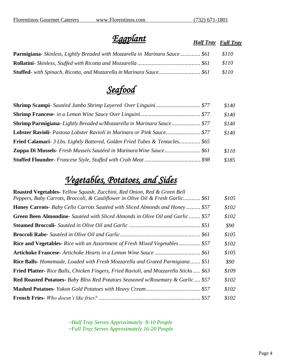## *Eggplant*

*Half Tray Full Tray*

| <b>Parmigiana-</b> Skinless, Lightly Breaded with Mozzarella in Marinara Sauce  \$61 | <i>S<sub>110</sub></i> |
|--------------------------------------------------------------------------------------|------------------------|
|                                                                                      | <i>S110</i>            |
| <b>Stuffed</b> - with Spinach, Ricotta, and Mozzarella in Marinara Sauce \$61        | 8110                   |

*Seafood* 

|                                                                                     | \$140 |
|-------------------------------------------------------------------------------------|-------|
|                                                                                     | \$140 |
| Shrimp Parmigiana-Lightly Breaded w/Mozzarella in Marinara Sauce \$77               | \$140 |
| Lobster Ravioli- Pastosa Lobster Ravioli in Marinara or Pink Sauce \$77             | \$140 |
| <b>Fried Calamari-</b> 3 Lbs. Lightly Battered, Golden Fried Tubes & Tentacles \$65 |       |
| Zuppa Di Mussels- Fresh Mussels Sautéed in Marinara Wine Sauce \$61                 | \$110 |
|                                                                                     | \$185 |

## *Vegetables, Potatoes, and Sides*

| <b>Roasted Vegetables-</b> Yellow Squash, Zucchini, Red Onion, Red & Green Bell              |       |
|----------------------------------------------------------------------------------------------|-------|
| Peppers, Baby Carrots, Broccoli, & Cauliflower in Olive Oil & Fresh Garlic \$61              | \$105 |
| <b>Honey Carrots-</b> Baby Cello Carrots Sautéed with Sliced Almonds and Honey \$57          | \$102 |
| <b>Green Been Almondine-</b> Sautéed with Sliced Almonds in Olive Oil and Garlic  \$57       | \$102 |
|                                                                                              | \$90  |
|                                                                                              | \$105 |
| <b>Rice and Vegetables-</b> Rice with an Assortment of Fresh Mixed Vegetables \$57           | \$102 |
|                                                                                              | \$105 |
| <b>Rice Balls-</b> Homemade, Loaded with Fresh Mozzarella and Grated Parmigiana \$51         | \$90  |
| <b>Fried Platter-</b> Rice Balls, Chicken Fingers, Fried Ravioli, and Mozzarella Sticks \$63 | \$109 |
| <b>Red Roasted Potatoes-</b> Baby Bliss Red Potatoes Seasoned w/Rosemary & Garlic  \$57      | \$102 |
|                                                                                              | \$102 |
|                                                                                              | \$102 |

*~Half Tray Serves Approximately 8-10 People ~Full Tray Serves Approximately 16-20 People*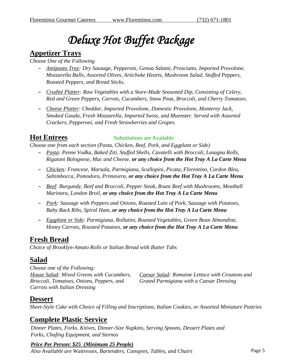# *Deluxe Hot Buffet Package*

## **Appetizer Trays**

### *Choose One of the Following*

- *Antipasto Tray: Dry Sausage, Pepperoni, Genoa Salami, Prosciutto, Imported Provolone, Mozzarella Balls, Assorted Olives, Artichoke Hearts, Mushroom Salad, Stuffed Peppers, Roasted Peppers, and Bread Sticks.*
- *Crudité Platter: Raw Vegetables with a Store-Made Seasoned Dip, Consisting of Celery, Red and Green Peppers, Carrots, Cucumbers, Snow Peas, Broccoli, and Cherry Tomatoes.*
- *Cheese Platter: Cheddar, Imported Provolone, Domestic Provolone, Monterey Jack, Smoked Gouda, Fresh Mozzarella, Imported Swiss, and Muenster. Served with Assorted Crackers, Pepperoni, and Fresh Strawberries and Grapes.*

## **Hot Entrees**

### Substitutions are Available

*Choose one from each section (Pasta, Chicken, Beef, Pork, and Eggplant or Side)*

- *Pasta: Penne Vodka, Baked Ziti, Stuffed Shells, Cavatelli with Broccoli, Lasagna Rolls, Rigatoni Bolognese, Mac and Cheese, or any choice from the Hot Tray A La Carte Menu*
- *Chicken: Francese, Marsala, Parmigiana, Scallopini, Picata, Florentino, Cordon Bleu, Saltimbocca, Pomodoro, Primavera, or any choice from the Hot Tray A La Carte Menu*
- *Beef: Burgundy, Beef and Broccoli, Pepper Steak, Roast Beef with Mushrooms, Meatball Marinara, London Broil, or any choice from the Hot Tray A La Carte Menu*
- *Pork: Sausage with Peppers and Onions, Roasted Loin of Pork, Sausage with Potatoes, Baby Back Ribs, Spiral Ham, or any choice from the Hot Tray A La Carte Menu*
- *Eggplant or Side: Parmigiana, Rollatini, Roasted Vegetables, Green Bean Almondine, Honey Carrots, Roasted Potatoes, or any choice from the Hot Tray A La Carte Menu*

## **Fresh Bread**

*Choice of Brooklyn-Amato Rolls or Italian Bread with Butter Tabs*

### **Salad**

*Choose one of the Following: House Salad: Mixed Greens with Cucumbers, Broccoli, Tomatoes, Onions, Peppers, and Carrots with Italian Dressing*

*Caesar Salad: Romaine Lettuce with Croutons and Grated Parmigiana with a Caesar Dressing*

### **Dessert**

*Sheet-Style Cake with Choice of Filling and Inscriptions, Italian Cookies, or Assorted Miniature Pastries*

### **Complete Plastic Service**

*Dinner Plates, Forks, Knives, Dinner-Size Napkins, Serving Spoons, Dessert Plates and Forks, Chafing Equipment, and Sternos*

### *Price Per Person: \$25 (Minimum 25 People)*

Also Available are Waitresses, Bartenders, Canopies, Tables, and Chairs **Page 5** Page 5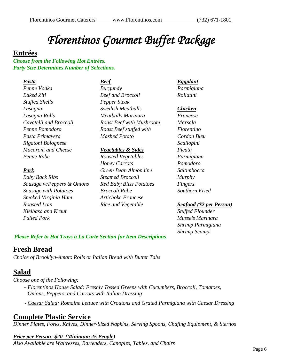# *Florentinos Gourmet Buffet Package*

### **Entrées**

*Choose from the Following Hot Entrées. Party Size Determines Number of Selections.*

### *Pasta Penne Vodka Baked Ziti Stuffed Shells Lasagna Lasagna Rolls Cavatelli and Broccoli Penne Pomodoro Pasta Primavera Rigatoni Bolognese Macaroni and Cheese Penne Rabe*

### *Pork*

*Baby Back Ribs Sausage w/Peppers & Onions Sausage with Potatoes Smoked Virginia Ham Roasted Loin Kielbasa and Kraut Pulled Pork*

#### *Beef*

*Burgundy Beef and Broccoli Pepper Steak Swedish Meatballs Meatballs Marinara Roast Beef with Mushroom Roast Beef stuffed with Mashed Potato*

#### *Vegetables & Sides*

*Roasted Vegetables Honey Carrots Green Bean Almondine Steamed Broccoli Red Baby Bliss Potatoes Broccoli Rabe Artichoke Francese Rice and Vegetable*

### *Eggplant*

*Parmigiana Rollatini*

#### *Chicken*

*Francese Marsala Florentino Cordon Bleu Scallopini Picata Parmigiana Pomodoro Saltimbocca Murphy Fingers Southern Fried*

### *Seafood (\$2 per Person)*

*Stuffed Flounder Mussels Marinara Shrimp Parmigiana Shrimp Scampi*

### *Please Refer to Hot Trays a La Carte Section for Item Descriptions*

## **Fresh Bread**

*Choice of Brooklyn-Amato Rolls or Italian Bread with Butter Tabs*

### **Salad**

*Choose one of the Following:*

- *Florentinos House Salad: Freshly Tossed Greens with Cucumbers, Broccoli, Tomatoes, Onions, Peppers, and Carrots with Italian Dressing*
- *Caesar Salad: Romaine Lettuce with Croutons and Grated Parmigiana with Caesar Dressing*

### **Complete Plastic Service**

*Dinner Plates, Forks, Knives, Dinner-Sized Napkins, Serving Spoons, Chafing Equipment, & Sternos*

### *Price per Person: \$20 (Minimum 25 People)*

*Also Available are Waitresses, Bartenders, Canopies, Tables, and Chairs*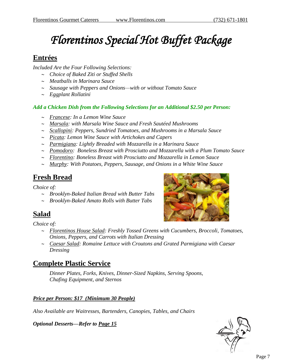# *Florentinos Special Hot Buffet Package*

## **Entrées**

*Included Are the Four Following Selections:* 

- *Choice of Baked Ziti or Stuffed Shells*
- *Meatballs in Marinara Sauce*
- *Sausage with Peppers and Onions—with or without Tomato Sauce*
- *Eggplant Rollatini*

### *Add a Chicken Dish from the Following Selections for an Additional \$2.50 per Person:*

- *Francese: In a Lemon Wine Sauce*
- *Marsala: with Marsala Wine Sauce and Fresh Sautéed Mushrooms*
- *Scallopini: Peppers, Sundried Tomatoes, and Mushrooms in a Marsala Sauce*
- *Picata: Lemon Wine Sauce with Artichokes and Capers*
- *Parmigiana: Lightly Breaded with Mozzarella in a Marinara Sauce*
- *Pomodoro: Boneless Breast with Prosciutto and Mozzarella with a Plum Tomato Sauce*
- *Florentino: Boneless Breast with Prosciutto and Mozzarella in Lemon Sauce*
- *Murphy: With Potatoes, Peppers, Sausage, and Onions in a White Wine Sauce*

## **Fresh Bread**

*Choice of:* 

- *Brooklyn-Baked Italian Bread with Butter Tabs*
- *Brooklyn-Baked Amato Rolls with Butter Tabs*

## **Salad**

*Choice of:* 

- *Florentinos House Salad: Freshly Tossed Greens with Cucumbers, Broccoli, Tomatoes, Onions, Peppers, and Carrots with Italian Dressing*
- *Caesar Salad: Romaine Lettuce with Croutons and Grated Parmigiana with Caesar Dressing*

## **Complete Plastic Service**

*Dinner Plates, Forks, Knives, Dinner-Sized Napkins, Serving Spoons, Chafing Equipment, and Sternos* 

### *Price per Person: \$17 (Minimum 30 People)*

*Also Available are Waitresses, Bartenders, Canopies, Tables, and Chairs*

*Optional Desserts—Refer to Page 15*



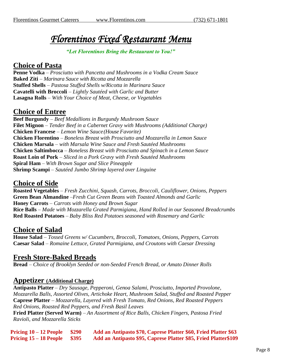## *Florentinos Fixed Restaurant Menu*

#### *"Let Florentinos Bring the Restaurant to You!"*

### **Choice of Pasta**

**Penne Vodka** – *Prosciutto with Pancetta and Mushrooms in a Vodka Cream Sauce* **Baked Ziti** – *Marinara Sauce with Ricotta and Mozzarella*  **Stuffed Shells** – *Pastosa Stuffed Shells w/Ricotta in Marinara Sauce* **Cavatelli with Broccoli** – *Lightly Sautéed with Garlic and Butter* **Lasagna Rolls** – *With Your Choice of Meat, Cheese, or Vegetables*

### **Choice of Entree**

**Beef Burgundy** – *Beef Medallions in Burgundy Mushroom Sauce* **Filet Mignon** *– Tender Beef in a Cabernet Gravy with Mushrooms (Additional Charge)* **Chicken Francese** – *Lemon Wine Sauce(House Favorite)* **Chicken Florentino** – *Boneless Breast with Prosciutto and Mozzarella in Lemon Sauce* **Chicken Marsala** – *with Marsala Wine Sauce and Fresh Sautéed Mushrooms* **Chicken Saltimbocca** – *Boneless Breast with Prosciutto and Spinach in a Lemon Sauce* **Roast Loin of Pork** – *Sliced in a Pork Gravy with Fresh Sautéed Mushrooms* **Spiral Ham** – *With Brown Sugar and Slice Pineapple* **Shrimp Scampi** – *Sautéed Jumbo Shrimp layered over Linguine*

### **Choice of Side**

**Roasted Vegetables** – *Fresh Zucchini, Squash, Carrots, Broccoli, Cauliflower, Onions, Peppers* **Green Bean Almandine** –*Fresh Cut Green Beans with Toasted Almonds and Garlic* **Honey Carrots** – *Carrots with Honey and Brown Sugar* **Rice Balls** – *Made with Mozzarella Grated Parmigiana, Hand Rolled in our Seasoned Breadcrumbs* **Red Roasted Potatoes** – *Baby Bliss Red Potatoes seasoned with Rosemary and Garlic*

### **Choice of Salad**

**House Salad** – *Tossed Greens w/ Cucumbers, Broccoli, Tomatoes, Onions, Peppers, Carrots* **Caesar Salad** – *Romaine Lettuce, Grated Parmigiana, and Croutons with Caesar Dressing*

### **Fresh Store-Baked Breads**

**Bread** – *Choice of Brooklyn Seeded or non-Seeded French Bread, or Amato Dinner Rolls*

### **Appetizer (Additional Charge)**

**Antipasto Platter** – *Dry Sausage, Pepperoni, Genoa Salami, Prosciutto, Imported Provolone, Mozzarella Balls, Assorted Olives, Artichoke Heart, Mushroom Salad, Stuffed and Roasted Pepper* **Caprese Platter** – *Mozzarella, Layered with Fresh Tomato, Red Onions, Red Roasted Peppers Red Onions, Roasted Red Peppers, and Fresh Basil Leaves*

**Fried Platter (Served Warm)** – *An Assortment of Rice Balls, Chicken Fingers, Pastosa Fried Ravioli, and Mozzarella Sticks*

**Pricing 10 – 12 People \$290 Add an Antipasto \$70, Caprese Platter \$60, Fried Platter \$63 Pricing 15 – 18 People \$395 Add an Antipasto \$95, Caprese Platter \$85, Fried Platter\$109**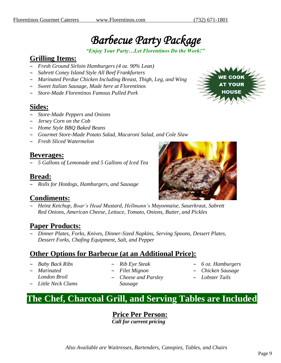## *Barbecue Party Package*

*"Enjoy Your Party…Let Florentinos Do the Work!"*

## **Grilling Items:**

- *Fresh Ground Sirloin Hamburgers (4 oz. 90% Lean)*
- *Sabrett Coney Island Style All Beef Frankfurters*
- *Marinated Perdue Chicken Including Breast, Thigh, Leg, and Wing*
- *Sweet Italian Sausage, Made here at Florentinos*
- *Store-Made Florentinos Famous Pulled Pork*

### **Sides:**

- *Store-Made Peppers and Onions*
- *Jersey Corn on the Cob*
- *Home Style BBQ Baked Beans*
- *Gourmet Store-Made Potato Salad, Macaroni Salad, and Cole Slaw*
- *Fresh Sliced Watermelon*

### **Beverages:**

*5 Gallons of Lemonade and 5 Gallons of Iced Tea*

### **Bread:**

*Rolls for Hotdogs, Hamburgers, and Sausage*

### **Condiments:**

 *Heinz Ketchup, Boar's Head Mustard, Hellmann's Mayonnaise, Sauerkraut, Sabrett Red Onions, American Cheese, Lettuce, Tomato, Onions, Butter, and Pickles*

### **Paper Products:**

 *Dinner Plates, Forks, Knives, Dinner-Sized Napkins, Serving Spoons, Dessert Plates, Dessert Forks, Chafing Equipment, Salt, and Pepper*

### **Other Options for Barbecue (at an Additional Price):**

- *Baby Back Ribs*
- *Marinated London Broil*
- *Little Neck Clams*
- *Rib Eye Steak*
- *Filet Mignon*
- *Cheese and Parsley Sausage*
- *6 oz. Hamburgers*
- *Chicken Sausage*
- *Lobster Tails*

## **The Chef, Charcoal Grill, and Serving Tables are Included**

**Price Per Person:**  *Call for current pricing*



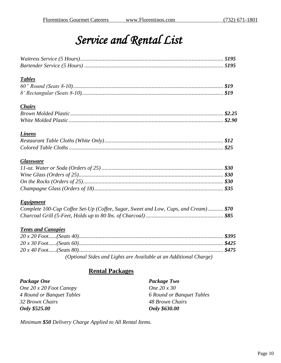## *Service and Rental List*

| <b>Tables</b>                                                                       |  |
|-------------------------------------------------------------------------------------|--|
|                                                                                     |  |
|                                                                                     |  |
| <b>Chairs</b>                                                                       |  |
|                                                                                     |  |
|                                                                                     |  |
| <b>Linens</b>                                                                       |  |
|                                                                                     |  |
|                                                                                     |  |
| <b>Glassware</b>                                                                    |  |
|                                                                                     |  |
|                                                                                     |  |
|                                                                                     |  |
|                                                                                     |  |
| <b>Equipment</b>                                                                    |  |
| Complete 100-Cup Coffee Set-Up (Coffee, Sugar, Sweet and Low, Cups, and Cream) \$70 |  |
|                                                                                     |  |
| <b>Tents and Canopies</b>                                                           |  |
|                                                                                     |  |
|                                                                                     |  |
|                                                                                     |  |

*(Optional Sides and Lights are Available at an Additional Charge)*

### **Rental Packages**

| Package One               | Package Two               |
|---------------------------|---------------------------|
| One $20x20$ Foot Canopy   | One 20 x 30               |
| 4 Round or Banquet Tables | 6 Round or Banquet Tables |
| 32 Brown Chairs           | 48 Brown Chairs           |
| Only \$525.00             | Only \$630.00             |

*Minimum \$50 Delivery Charge Applied to All Rental Items.*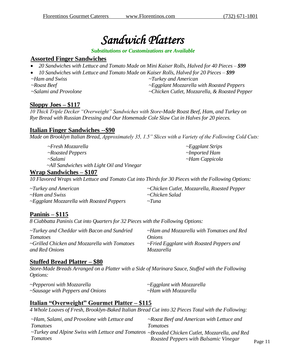## *Sandwich Platters*

#### *Substitutions or Customizations are Available*

### **Assorted Finger Sandwiches**

- *20 Sandwiches with Lettuce and Tomato Made on Mini Kaiser Rolls, Halved for 40 Pieces – \$99*
- *10 Sandwiches with Lettuce and Tomato Made on Kaiser Rolls, Halved for 20 Pieces – \$99*
- *~Ham and Swiss*
- *~Roast Beef*

*~Salami and Provolone*

*~Turkey and American*

*~Eggplant Mozzarella with Roasted Peppers*

*~Chicken Cutlet, Mozzarella, & Roasted Pepper*

### **Sloppy Joes – \$117**

*10 Thick Triple Decker "Overweight" Sandwiches with Store-Made Roast Beef, Ham, and Turkey on Rye Bread with Russian Dressing and Our Homemade Cole Slaw Cut in Halves for 20 pieces.*

### **Italian Finger Sandwiches --\$90**

*Made on Brooklyn Italian Bread, Approximately 35, 1.5" Slices with a Variety of the Following Cold Cuts:*

*~Fresh Mozzarella ~Roasted Peppers ~Salami ~All Sandwiches with Light Oil and Vinegar*

*~Eggplant Strips ~Imported Ham ~Ham Cappicola*

### **Wrap Sandwiches – \$107**

*10 Flavored Wraps with Lettuce and Tomato Cut into Thirds for 30 Pieces with the Following Options:*

| $\sim$ Turkey and American                      | ~Chicken Cutlet, Mozzarella, Roasted Pepper |
|-------------------------------------------------|---------------------------------------------|
| ~Ham and Swiss                                  | ~Chicken Salad                              |
| $\sim$ Eggplant Mozzarella with Roasted Peppers | $\sim$ Tuna                                 |

### **Paninis – \$115**

*8 Ciabbatta Paninis Cut into Quarters for 32 Pieces with the Following Options:*

| $\sim$ Turkey and Cheddar with Bacon and Sundried | $\sim$ Ham and Mozzarella with Tomatoes and Red |
|---------------------------------------------------|-------------------------------------------------|
| <i>Tomatoes</i>                                   | Onions                                          |
| ~Grilled Chicken and Mozzarella with Tomatoes     | $\sim$ Fried Eggplant with Roasted Peppers and  |
| and Red Onions                                    | Mozzarella                                      |

### **Stuffed Bread Platter – \$80**

*Store-Made Breads Arranged on a Platter with a Side of Marinara Sauce, Stuffed with the Following Options:*

| $\sim$ Pepperoni with Mozzarella       | $\sim$ Eggplant with Mozzarella |
|----------------------------------------|---------------------------------|
| $\sim$ Sausage with Peppers and Onions | ~Ham with Mozzarella            |

### **Italian "Overweight" Gourmet Platter – \$115**

*4 Whole Loaves of Fresh, Brooklyn-Baked Italian Bread Cut into 32 Pieces Total with the Following:*

| Tomatoes                              |                                                                                                                                              |
|---------------------------------------|----------------------------------------------------------------------------------------------------------------------------------------------|
|                                       |                                                                                                                                              |
| Roasted Peppers with Balsamic Vinegar | Page 11                                                                                                                                      |
|                                       | ~Roast Beef and American with Lettuce and<br>~Turkey and Alpine Swiss with Lettuce and Tomateos ~Breaded Chicken Cutlet, Mozzarella, and Red |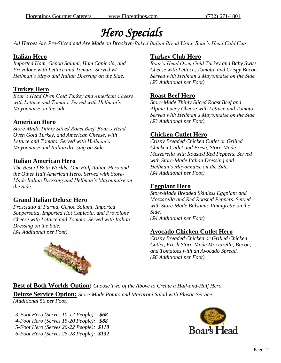## *Hero Specials*

*All Heroes Are Pre-Sliced and Are Made on Brooklyn-Baked Italian Bread Using Boar's Head Cold Cuts.*

### **Italian Hero**

*Imported Ham, Genoa Salami, Ham Capicola, and Provolone with Lettuce and Tomato. Served w/ Hellman's Mayo and Italian Dressing on the Side.*

### **Turkey Hero**

*Boar's Head Oven Gold Turkey and American Cheese with Lettuce and Tomato. Served with Hellman's Mayonnaise on the side.*

### **American Hero**

*Store-Made Thinly Sliced Roast Beef, Boar's Head Oven Gold Turkey, and American Cheese, with Lettuce and Tomato. Served with Hellman's Mayonnaise and Italian dressing on Side.*

### **Italian American Hero**

*The Best of Both Worlds: One Half Italian Hero and the Other Half American Hero. Served with Store-Made Italian Dressing and Hellman's Mayonnaise on the Side.*

### **Grand Italian Deluxe Hero**

*Prosciutto di Parma, Genoa Salami, Imported Soppersatta, Imported Hot Capicola, and Provolone Cheese with Lettuce and Tomato. Served with Italian Dressing on the Side. (\$4 Additional per Foot)*



### **Turkey Club Hero**

*Boar's Head Oven Gold Turkey and Baby Swiss Cheese with Lettuce, Tomato, and Crispy Bacon. Served with Hellman's Mayonnaise on the Side. (\$5 Additional per Foot)*

### **Roast Beef Hero**

*Store-Made Thinly Sliced Roast Beef and Alpine-Lacey Cheese with Lettuce and Tomato. Served with Hellman's Mayonnaise on the Side. (\$3 Additional per Foot)*

### **Chicken Cutlet Hero**

*Crispy Breaded Chicken Cutlet or Grilled Chicken Cutlet and Fresh, Store-Made Mozzarella with Roasted Red Peppers. Served with Store-Made Italian Dressing and Hellman's Mayonnaise on the Side. (\$4 Additional per Foot)*

### **Eggplant Hero**

*Store-Made Breaded Skinless Eggplant and Mozzarella and Red Roasted Peppers. Served with Store-Made Balsamic Vinaigrette on the Side. (\$4 Additional per Foot)*

### **Avocado Chicken Cutlet Hero**

*Crispy Breaded Chicken or Grilled Chicken Cutlet, Fresh Store-Made Mozzarella, Bacon, and Tomatoes with an Avocado Spread. (\$6 Additional per Foot)*

### **Best of Both Worlds Option:** *Choose Two of the Above to Create a Half-and-Half Hero.*

**Deluxe Service Option:** *Store-Made Potato and Macaroni Salad with Plastic Service. (Additional \$6 per Foot)*

*3-Foot Hero (Serves 10-12 People): \$68 4-Foot Hero (Serves 15-20 People): \$88 5-Foot Hero (Serves 20-22 People): \$110 6-Foot Hero (Serves 25-28 People): \$132*

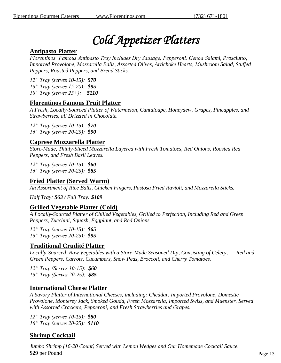# *Cold Appetizer Platters*

### **Antipasto Platter**

*Florentinos' Famous Antipasto Tray Includes Dry Sausage, Pepperoni, Genoa Salami, Prosciutto, Imported Provolone, Mozzarella Balls, Assorted Olives, Artichoke Hearts, Mushroom Salad, Stuffed Peppers, Roasted Peppers, and Bread Sticks.*

*12" Tray (serves 10-15): \$70 16" Tray (serves 15-20): \$95 18" Tray (serves 25+): \$110*

### **Florentinos Famous Fruit Platter**

*A Fresh, Locally-Sourced Platter of Watermelon, Cantaloupe, Honeydew, Grapes, Pineapples, and Strawberries, all Drizzled in Chocolate.* 

*12" Tray (serves 10-15): \$70 16" Tray (serves 20-25): \$90*

### **Caprese Mozzarella Platter**

*Store-Made, Thinly-Sliced Mozzarella Layered with Fresh Tomatoes, Red Onions, Roasted Red Peppers, and Fresh Basil Leaves.*

*12" Tray (serves 10-15): \$60 16" Tray (serves 20-25): \$85*

### **Fried Platter (Served Warm)**

*An Assortment of Rice Balls, Chicken Fingers, Pastosa Fried Ravioli, and Mozzarella Sticks.*

*Half Tray: \$63 / Full Tray: \$109*

### **Grilled Vegetable Platter (Cold)**

*A Locally-Sourced Platter of Chilled Vegetables, Grilled to Perfection, Including Red and Green Peppers, Zucchini, Squash, Eggplant, and Red Onions.* 

*12" Tray (serves 10-15): \$65 16" Tray (serves 20-25): \$95*

### **Traditional Crudité Platter**

*Locally-Sourced, Raw Vegetables with a Store-Made Seasoned Dip, Consisting of Celery, Red and Green Peppers, Carrots, Cucumbers, Snow Peas, Broccoli, and Cherry Tomatoes.*

*12" Tray (Serves 10-15): \$60 16" Tray (Serves 20-25): \$85*

### **International Cheese Platter**

*A Savory Platter of International Cheeses, including: Cheddar, Imported Provolone, Domestic Provolone, Monterey Jack, Smoked Gouda, Fresh Mozzarella, Imported Swiss, and Muenster. Served with Assorted Crackers, Pepperoni, and Fresh Strawberries and Grapes.*

*12" Tray (serves 10-15): \$80 16" Tray (serves 20-25): \$110*

### **Shrimp Cocktail**

*Jumbo Shrimp (16-20 Count) Served with Lemon Wedges and Our Homemade Cocktail Sauce.* **\$29** per Pound Page 13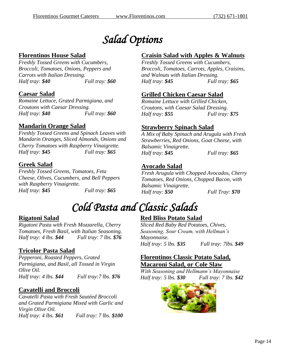## *Salad Options*

### **Florentinos House Salad**

*Freshly Tossed Greens with Cucumbers, Broccoli, Tomatoes, Onions, Peppers and Carrots with Italian Dressing. Half tray: \$40 Full tray: \$60*

### **Caesar Salad**

*Romaine Lettuce, Grated Parmigiana, and Croutons with Caesar Dressing. Half tray: \$40 Full tray: \$60*

### **Mandarin Orange Salad**

*Freshly Tossed Greens and Spinach Leaves with Mandarin Oranges, Sliced Almonds, Onions and Cherry Tomatoes with Raspberry Vinaigrette. Half tray: \$45 Full tray: \$65*

### **Greek Salad**

*Freshly Tossed Greens, Tomatoes, Feta Cheese, Olives, Cucumbers, and Bell Peppers with Raspberry Vinaigrette. Half tray: \$45 Full tray: \$65*

### **Craisin Salad with Apples & Walnuts**

*Freshly Tossed Greens with Cucumbers, Broccoli, Tomatoes, Carrots, Apples, Craisins, and Walnuts with Italian Dressing. Half tray: \$45 Full tray: \$65*

### **Grilled Chicken Caesar Salad**

*Romaine Lettuce with Grilled Chicken, Croutons, with Caesar Salad Dressing. Half tray: \$55 Full tray: \$75*

### **Strawberry Spinach Salad**

*A Mix of Baby Spinach and Arugula with Fresh Strawberries, Red Onions, Goat Cheese, with Balsamic Vinaigrette. Half tray: \$45 Full tray: \$65*

### **Avocado Salad**

*Fresh Arugula with Chopped Avocados, Cherry Tomatoes, Red Onions, Chopped Bacon, with Balsamic Vinaigrette. Half tray: \$50 Full Tray: \$70*

## *Cold Pasta and Classic Salads*

### **Rigatoni Salad**

*Rigatoni Pasta with Fresh Mozzarella, Cherry Tomatoes, Fresh Basil, with Italian Seasoning. Half tray: 4 lbs. \$44 Full tray: 7 lbs. \$76*

### **Tricolor Pasta Salad**

*Pepperoni, Roasted Peppers, Grated Parmigiana, and Basil, all Tossed in Virgin Olive Oil. Half tray: 4 lbs. \$44 Full tray:7 lbs. \$76*

### **Cavatelli and Broccoli**

*Cavatelli Pasta with Fresh Sautéed Broccoli and Grated Parmigiana Mixed with Garlic and Virgin Olive Oil. Half tray: 4 lbs. \$61 Full tray: 7 lbs. \$100*

### **Red Bliss Potato Salad**

*Sliced Red Baby Red Potatoes, Chives, Seasoning, Sour Cream, with Hellman's Mayonnaise. Half tray: 5 lbs. \$35 Full tray: 7lbs. \$49*

### **Florentinos Classic Potato Salad, Macaroni Salad, or Cole Slaw**

*With Seasoning and Hellmann's Mayonnaise Half tray: 5 lbs. \$30 Full tray: 7 lbs. \$42*

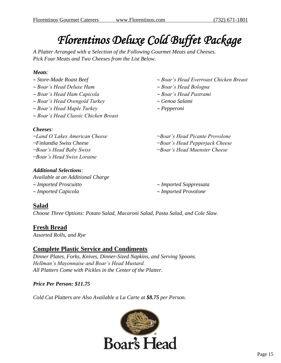# *Florentinos Deluxe Cold Buffet Package*

*A Platter Arranged with a Selection of the Following Gourmet Meats and Cheeses. Pick Four Meats and Two Cheeses from the List Below.*

#### *Meats:*

 *Store-Made Roast Beef Boar's Head Deluxe Ham Boar's Head Ham Capicola Boar's Head Ovengold Turkey Boar's Head Maple Turkey Boar's Head Classic Chicken Breast Cheeses: ~Land O'Lakes American Cheese ~Finlandia Swiss Cheese ~Boar's Head Baby Swiss ~Boar's Head Swiss Loraine*

### *Additional Selections:*

*Available at an Additional Charge Imported Proscuitto Imported Capicola*

- *Boar's Head Everroast Chicken Breast*
- *Boar's Head Bologna*
- *Boar's Head Pastrami*
- *Genoa Salami*
- *Pepperoni*

*~Boar's Head Picante Provolone ~Boar's Head Pepperjack Cheese ~Boar's Head Muenster Cheese* 

 *Imported Soppressata Imported Provolone*

### **Salad**

*Choose Three Options: Potato Salad, Macaroni Salad, Pasta Salad, and Cole Slaw.*

### **Fresh Bread**

*Assorted Rolls, and Rye*

### **Complete Plastic Service and Condiments**

*Dinner Plates, Forks, Knives, Dinner-Sized Napkins, and Serving Spoons. Hellman's Mayonnaise and Boar's Head Mustard. All Platters Come with Pickles in the Center of the Platter.*

### *Price Per Person: \$11.75*

*Cold Cut Platters are Also Available a La Carte at \$8.75 per Person.*

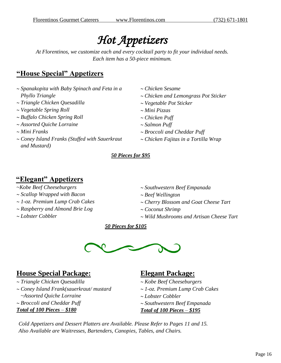## *Hot Appetizers*

*At Florentinos, we customize each and every cocktail party to fit your individual needs. Each item has a 50-piece minimum.*

## **"House Special" Appetizers**

- *Spanakopita with Baby Spinach and Feta in a Phyllo Triangle Triangle Chicken Quesadilla Vegetable Spring Roll Buffalo Chicken Spring Roll*
- *Assorted Quiche Lorraine*
- *Mini Franks*
- *Coney Island Franks (Stuffed with Sauerkraut and Mustard)*
- *Chicken Sesame Chicken and Lemongrass Pot Sticker Vegetable Pot Sticker Mini Pizzas*
- *Chicken Puff*
- *Salmon Puff*
- *Broccoli and Cheddar Puff*
- *Chicken Fajitas in a Tortilla Wrap*

### *50 Pieces for \$95*

## **"Elegant" Appetizers**

- *~Kobe Beef Cheeseburgers*
- *Scallop Wrapped with Bacon*
- *1-oz. Premium Lump Crab Cakes*
- *Raspberry and Almond Brie Log*
- *Lobster Cobbler*
- *Southwestern Beef Empanada*
- *Beef Wellington*
- *Cherry Blossom and Goat Cheese Tart*
- *Coconut Shrimp*
- *Wild Mushrooms and Artisan Cheese Tart*

 *50 Pieces for \$105*



## **House Special Package:**

 *Triangle Chicken Quesadilla Coney Island Frank(sauerkraut/ mustard ~Assorted Quiche Lorraine Broccoli and Cheddar Puff Total of 100 Pieces – \$180*

### **Elegant Package:**

- *Kobe Beef Cheeseburgers 1-oz. Premium Lump Crab Cakes Lobster Cobbler Southwestern Beef Empanada*
- *Total of 100 Pieces – \$195*

*Cold Appetizers and Dessert Platters are Available. Please Refer to Pages 11 and 15. Also Available are Waitresses, Bartenders, Canopies, Tables, and Chairs.*